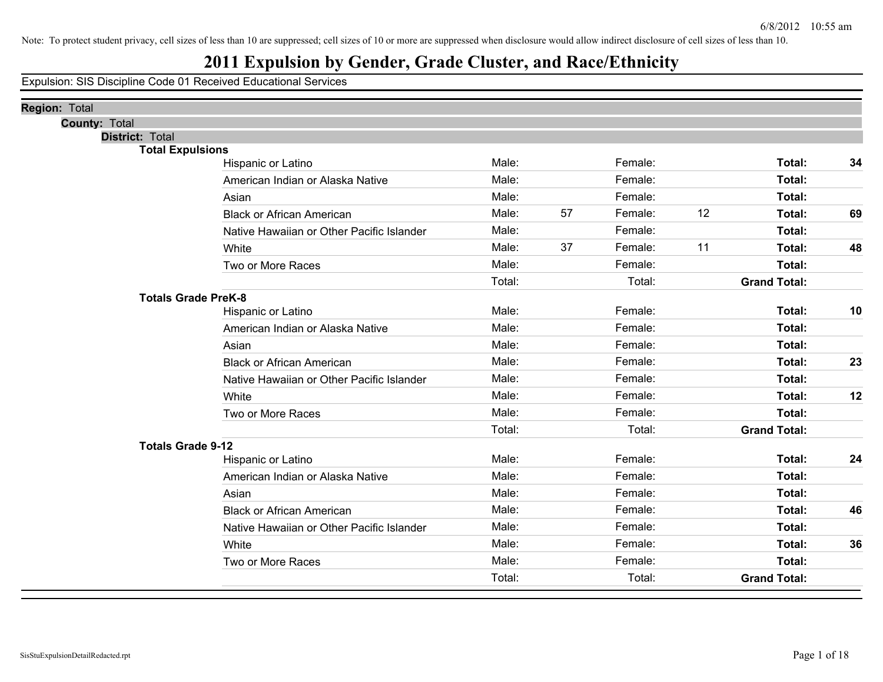## **2011 Expulsion by Gender, Grade Cluster, and Race/Ethnicity**

| <b>Region: Total</b>       |                                           |        |    |         |    |                     |    |
|----------------------------|-------------------------------------------|--------|----|---------|----|---------------------|----|
| <b>County: Total</b>       |                                           |        |    |         |    |                     |    |
| <b>District: Total</b>     |                                           |        |    |         |    |                     |    |
| <b>Total Expulsions</b>    |                                           | Male:  |    | Female: |    | Total:              | 34 |
|                            | Hispanic or Latino                        | Male:  |    | Female: |    |                     |    |
|                            | American Indian or Alaska Native          |        |    |         |    | Total:              |    |
|                            | Asian                                     | Male:  |    | Female: |    | Total:              |    |
|                            | <b>Black or African American</b>          | Male:  | 57 | Female: | 12 | Total:              | 69 |
|                            | Native Hawaiian or Other Pacific Islander | Male:  |    | Female: |    | Total:              |    |
|                            | White                                     | Male:  | 37 | Female: | 11 | Total:              | 48 |
|                            | Two or More Races                         | Male:  |    | Female: |    | Total:              |    |
|                            |                                           | Total: |    | Total:  |    | <b>Grand Total:</b> |    |
| <b>Totals Grade PreK-8</b> |                                           |        |    |         |    |                     |    |
|                            | Hispanic or Latino                        | Male:  |    | Female: |    | Total:              | 10 |
|                            | American Indian or Alaska Native          | Male:  |    | Female: |    | Total:              |    |
|                            | Asian                                     | Male:  |    | Female: |    | Total:              |    |
|                            | <b>Black or African American</b>          | Male:  |    | Female: |    | Total:              | 23 |
|                            | Native Hawaiian or Other Pacific Islander | Male:  |    | Female: |    | Total:              |    |
|                            | White                                     | Male:  |    | Female: |    | Total:              | 12 |
|                            | Two or More Races                         | Male:  |    | Female: |    | Total:              |    |
|                            |                                           | Total: |    | Total:  |    | <b>Grand Total:</b> |    |
| <b>Totals Grade 9-12</b>   |                                           |        |    |         |    |                     |    |
|                            | Hispanic or Latino                        | Male:  |    | Female: |    | Total:              | 24 |
|                            | American Indian or Alaska Native          | Male:  |    | Female: |    | Total:              |    |
|                            | Asian                                     | Male:  |    | Female: |    | Total:              |    |
|                            | <b>Black or African American</b>          | Male:  |    | Female: |    | Total:              | 46 |
|                            | Native Hawaiian or Other Pacific Islander | Male:  |    | Female: |    | Total:              |    |
|                            | White                                     | Male:  |    | Female: |    | Total:              | 36 |
|                            | Two or More Races                         | Male:  |    | Female: |    | Total:              |    |
|                            |                                           | Total: |    | Total:  |    | <b>Grand Total:</b> |    |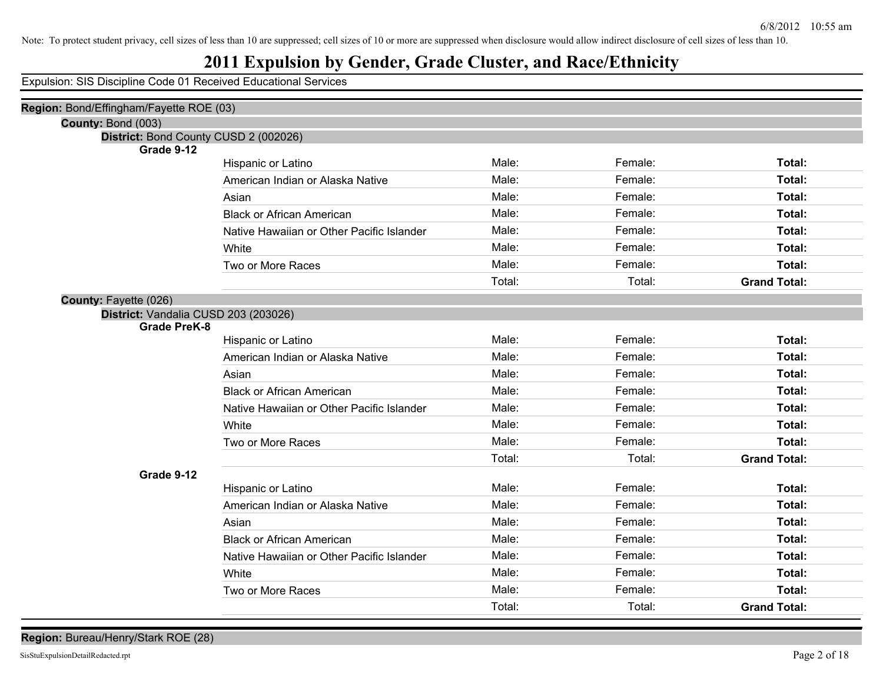## **2011 Expulsion by Gender, Grade Cluster, and Race/Ethnicity**

Expulsion: SIS Discipline Code 01 Received Educational Services

| Region: Bond/Effingham/Fayette ROE (03)             |                                           |        |         |                     |  |  |
|-----------------------------------------------------|-------------------------------------------|--------|---------|---------------------|--|--|
| County: Bond (003)                                  |                                           |        |         |                     |  |  |
| District: Bond County CUSD 2 (002026)<br>Grade 9-12 |                                           |        |         |                     |  |  |
|                                                     | Hispanic or Latino                        | Male:  | Female: | Total:              |  |  |
|                                                     | American Indian or Alaska Native          | Male:  | Female: | Total:              |  |  |
|                                                     | Asian                                     | Male:  | Female: | Total:              |  |  |
|                                                     | <b>Black or African American</b>          | Male:  | Female: | Total:              |  |  |
|                                                     | Native Hawaiian or Other Pacific Islander | Male:  | Female: | Total:              |  |  |
|                                                     | White                                     | Male:  | Female: | Total:              |  |  |
|                                                     | Two or More Races                         | Male:  | Female: | Total:              |  |  |
|                                                     |                                           | Total: | Total:  | <b>Grand Total:</b> |  |  |
| <b>County: Fayette (026)</b>                        |                                           |        |         |                     |  |  |
| District: Vandalia CUSD 203 (203026)                |                                           |        |         |                     |  |  |
| <b>Grade PreK-8</b>                                 |                                           |        |         |                     |  |  |
|                                                     | Hispanic or Latino                        | Male:  | Female: | Total:              |  |  |
|                                                     | American Indian or Alaska Native          | Male:  | Female: | Total:              |  |  |
|                                                     | Asian                                     | Male:  | Female: | Total:              |  |  |
|                                                     | <b>Black or African American</b>          | Male:  | Female: | Total:              |  |  |
|                                                     | Native Hawaiian or Other Pacific Islander | Male:  | Female: | Total:              |  |  |
|                                                     | White                                     | Male:  | Female: | Total:              |  |  |
|                                                     | Two or More Races                         | Male:  | Female: | Total:              |  |  |
|                                                     |                                           | Total: | Total:  | <b>Grand Total:</b> |  |  |
| Grade 9-12                                          |                                           |        |         |                     |  |  |
|                                                     | Hispanic or Latino                        | Male:  | Female: | Total:              |  |  |
|                                                     | American Indian or Alaska Native          | Male:  | Female: | Total:              |  |  |
|                                                     | Asian                                     | Male:  | Female: | Total:              |  |  |
|                                                     | <b>Black or African American</b>          | Male:  | Female: | Total:              |  |  |
|                                                     | Native Hawaiian or Other Pacific Islander | Male:  | Female: | Total:              |  |  |
|                                                     | White                                     | Male:  | Female: | Total:              |  |  |
|                                                     | Two or More Races                         | Male:  | Female: | Total:              |  |  |
|                                                     |                                           | Total: | Total:  | <b>Grand Total:</b> |  |  |
|                                                     |                                           |        |         |                     |  |  |

**Region:** Bureau/Henry/Stark ROE (28)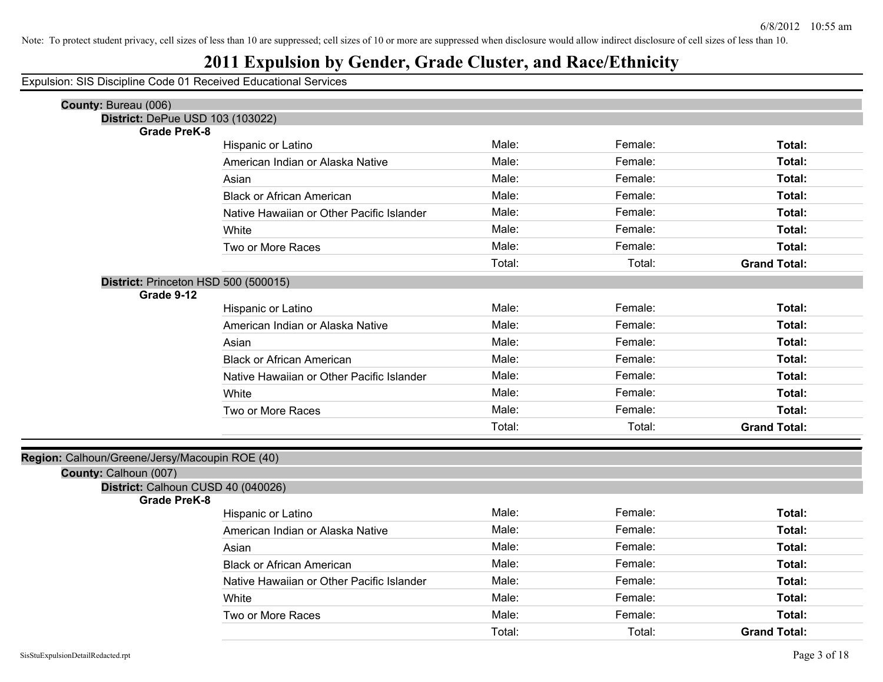## **2011 Expulsion by Gender, Grade Cluster, and Race/Ethnicity**

| County: Bureau (006)                                                    |                                           |        |         |                     |
|-------------------------------------------------------------------------|-------------------------------------------|--------|---------|---------------------|
| District: DePue USD 103 (103022)                                        |                                           |        |         |                     |
| <b>Grade PreK-8</b>                                                     |                                           |        |         |                     |
|                                                                         | Hispanic or Latino                        | Male:  | Female: | Total:              |
|                                                                         | American Indian or Alaska Native          | Male:  | Female: | Total:              |
|                                                                         | Asian                                     | Male:  | Female: | Total:              |
|                                                                         | <b>Black or African American</b>          | Male:  | Female: | Total:              |
|                                                                         | Native Hawaiian or Other Pacific Islander | Male:  | Female: | Total:              |
|                                                                         | White                                     | Male:  | Female: | Total:              |
|                                                                         | Two or More Races                         | Male:  | Female: | Total:              |
|                                                                         |                                           | Total: | Total:  | <b>Grand Total:</b> |
| District: Princeton HSD 500 (500015)                                    |                                           |        |         |                     |
| Grade 9-12                                                              |                                           | Male:  | Female: | Total:              |
|                                                                         | Hispanic or Latino                        |        |         |                     |
|                                                                         | American Indian or Alaska Native          | Male:  | Female: | Total:              |
|                                                                         | Asian                                     | Male:  | Female: | Total:              |
|                                                                         | <b>Black or African American</b>          | Male:  | Female: | Total:              |
|                                                                         | Native Hawaiian or Other Pacific Islander | Male:  | Female: | Total:              |
|                                                                         | White                                     | Male:  | Female: | Total:              |
|                                                                         | Two or More Races                         | Male:  | Female: | Total:              |
|                                                                         |                                           | Total: | Total:  | <b>Grand Total:</b> |
|                                                                         |                                           |        |         |                     |
| Region: Calhoun/Greene/Jersy/Macoupin ROE (40)<br>County: Calhoun (007) |                                           |        |         |                     |
| District: Calhoun CUSD 40 (040026)                                      |                                           |        |         |                     |
| <b>Grade PreK-8</b>                                                     |                                           |        |         |                     |
|                                                                         | Hispanic or Latino                        | Male:  | Female: | Total:              |
|                                                                         | American Indian or Alaska Native          | Male:  | Female: | Total:              |
|                                                                         | Asian                                     | Male:  | Female: | Total:              |
|                                                                         | <b>Black or African American</b>          | Male:  | Female: | Total:              |
|                                                                         | Native Hawaiian or Other Pacific Islander | Male:  | Female: | Total:              |
|                                                                         | White                                     | Male:  | Female: | Total:              |
|                                                                         | Two or More Races                         | Male:  | Female: | Total:              |
|                                                                         |                                           | Total: | Total:  | <b>Grand Total:</b> |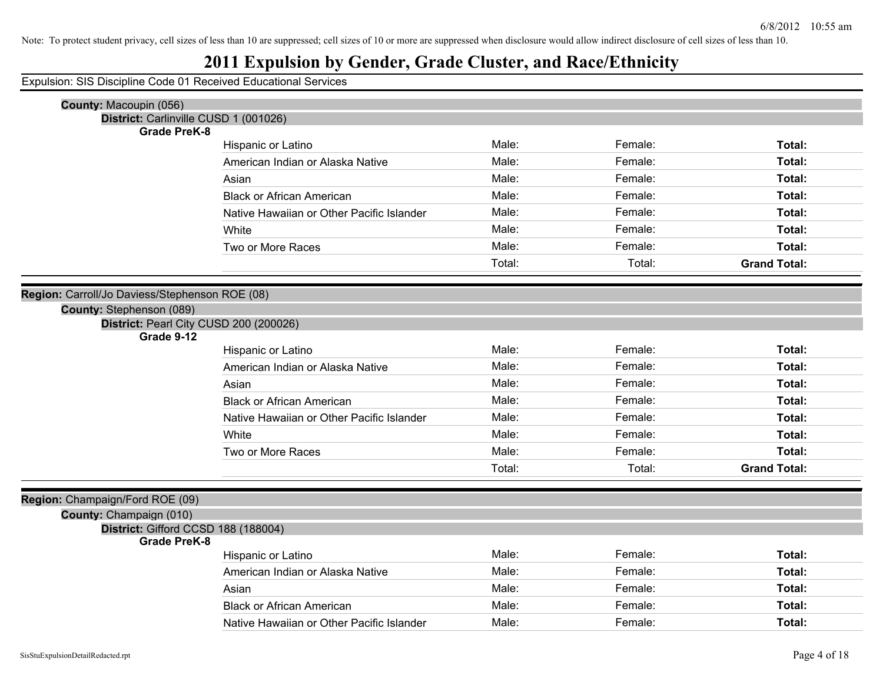## **2011 Expulsion by Gender, Grade Cluster, and Race/Ethnicity**

| County: Macoupin (056)                                             |                                           |        |         |                     |
|--------------------------------------------------------------------|-------------------------------------------|--------|---------|---------------------|
| District: Carlinville CUSD 1 (001026)<br><b>Grade PreK-8</b>       |                                           |        |         |                     |
|                                                                    | Hispanic or Latino                        | Male:  | Female: | Total:              |
|                                                                    | American Indian or Alaska Native          | Male:  | Female: | Total:              |
|                                                                    | Asian                                     | Male:  | Female: | Total:              |
|                                                                    | <b>Black or African American</b>          | Male:  | Female: | Total:              |
|                                                                    | Native Hawaiian or Other Pacific Islander | Male:  | Female: | Total:              |
|                                                                    | White                                     | Male:  | Female: | Total:              |
|                                                                    | Two or More Races                         | Male:  | Female: | Total:              |
|                                                                    |                                           | Total: | Total:  | <b>Grand Total:</b> |
|                                                                    |                                           |        |         |                     |
| Region: Carroll/Jo Daviess/Stephenson ROE (08)                     |                                           |        |         |                     |
| County: Stephenson (089)<br>District: Pearl City CUSD 200 (200026) |                                           |        |         |                     |
| Grade 9-12                                                         |                                           |        |         |                     |
|                                                                    | Hispanic or Latino                        | Male:  | Female: | Total:              |
|                                                                    | American Indian or Alaska Native          | Male:  | Female: | Total:              |
|                                                                    | Asian                                     | Male:  | Female: | Total:              |
|                                                                    | <b>Black or African American</b>          | Male:  | Female: | Total:              |
|                                                                    | Native Hawaiian or Other Pacific Islander | Male:  | Female: | Total:              |
|                                                                    | White                                     | Male:  | Female: | Total:              |
|                                                                    | Two or More Races                         | Male:  | Female: | Total:              |
|                                                                    |                                           | Total: | Total:  | <b>Grand Total:</b> |
|                                                                    |                                           |        |         |                     |
| Region: Champaign/Ford ROE (09)<br>County: Champaign (010)         |                                           |        |         |                     |
| District: Gifford CCSD 188 (188004)                                |                                           |        |         |                     |
| <b>Grade PreK-8</b>                                                |                                           |        |         |                     |
|                                                                    | Hispanic or Latino                        | Male:  | Female: | Total:              |
|                                                                    | American Indian or Alaska Native          | Male:  | Female: | Total:              |
|                                                                    | Asian                                     | Male:  | Female: | Total:              |
|                                                                    | <b>Black or African American</b>          | Male:  | Female: | Total:              |
|                                                                    | Native Hawaiian or Other Pacific Islander | Male:  | Female: | Total:              |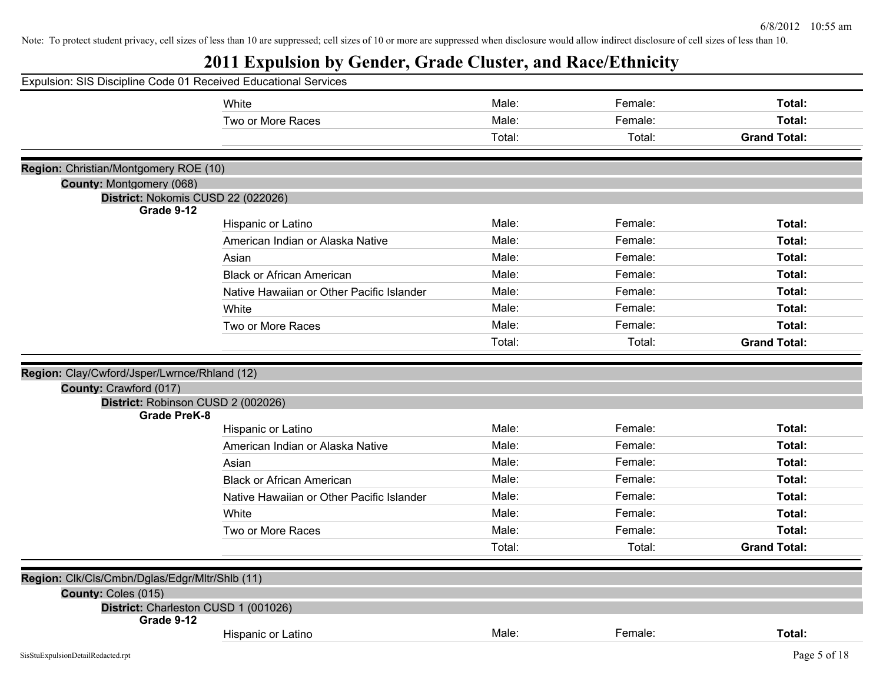|                                                       | Expulsion: SIS Discipline Code 01 Received Educational Services |        |         |                     |
|-------------------------------------------------------|-----------------------------------------------------------------|--------|---------|---------------------|
|                                                       | White                                                           | Male:  | Female: | Total:              |
|                                                       | Two or More Races                                               | Male:  | Female: | Total:              |
|                                                       |                                                                 | Total: | Total:  | <b>Grand Total:</b> |
| Region: Christian/Montgomery ROE (10)                 |                                                                 |        |         |                     |
| <b>County: Montgomery (068)</b>                       |                                                                 |        |         |                     |
|                                                       | District: Nokomis CUSD 22 (022026)                              |        |         |                     |
| Grade 9-12                                            |                                                                 |        |         |                     |
|                                                       | Hispanic or Latino                                              | Male:  | Female: | Total:              |
|                                                       | American Indian or Alaska Native                                | Male:  | Female: | Total:              |
|                                                       | Asian                                                           | Male:  | Female: | Total:              |
|                                                       | <b>Black or African American</b>                                | Male:  | Female: | Total:              |
|                                                       | Native Hawaiian or Other Pacific Islander                       | Male:  | Female: | Total:              |
|                                                       | White                                                           | Male:  | Female: | Total:              |
|                                                       | Two or More Races                                               | Male:  | Female: | Total:              |
|                                                       |                                                                 | Total: | Total:  | <b>Grand Total:</b> |
|                                                       |                                                                 |        |         |                     |
| Region: Clay/Cwford/Jsper/Lwrnce/Rhland (12)          |                                                                 |        |         |                     |
| County: Crawford (017)                                |                                                                 |        |         |                     |
| <b>Grade PreK-8</b>                                   | District: Robinson CUSD 2 (002026)                              |        |         |                     |
|                                                       | Hispanic or Latino                                              | Male:  | Female: | Total:              |
|                                                       | American Indian or Alaska Native                                | Male:  | Female: | Total:              |
|                                                       | Asian                                                           | Male:  | Female: | Total:              |
|                                                       | <b>Black or African American</b>                                | Male:  | Female: | Total:              |
|                                                       | Native Hawaiian or Other Pacific Islander                       | Male:  | Female: | Total:              |
|                                                       | White                                                           | Male:  | Female: | Total:              |
|                                                       | Two or More Races                                               | Male:  | Female: | Total:              |
|                                                       |                                                                 |        |         | <b>Grand Total:</b> |
|                                                       |                                                                 | Total: | Total:  |                     |
| <b>Region:</b> Clk/Cls/Cmbn/Dglas/Edgr/Mltr/Shlb (11) |                                                                 |        |         |                     |
| County: Coles (015)                                   |                                                                 |        |         |                     |
|                                                       | District: Charleston CUSD 1 (001026)                            |        |         |                     |
| Grade 9-12                                            |                                                                 |        |         |                     |
|                                                       | Hispanic or Latino                                              | Male:  | Female: | Total:              |
| SisStuExpulsionDetailRedacted.rpt                     |                                                                 |        |         | Page 5 of 18        |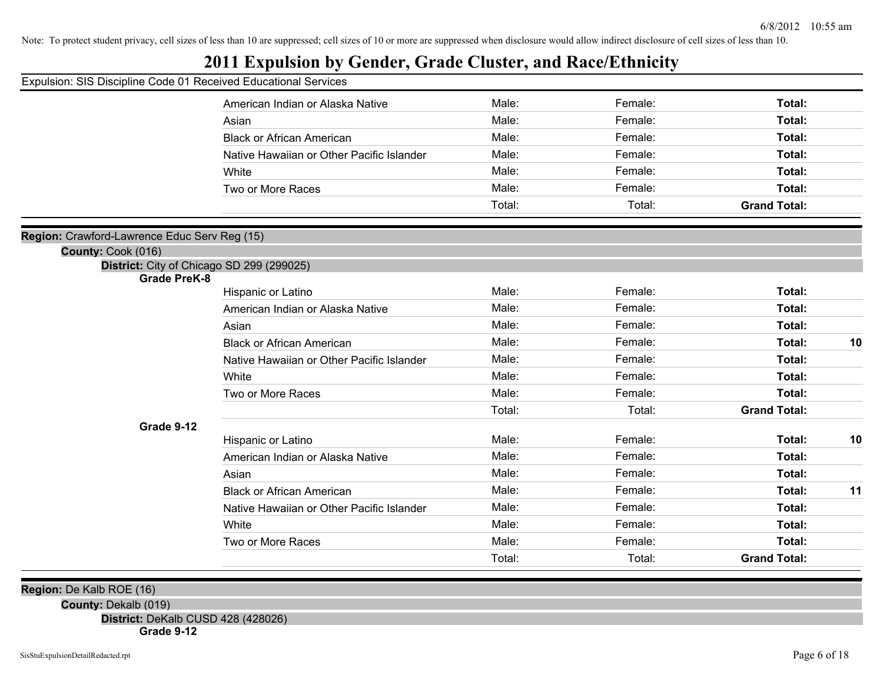#### **2011 Expulsion by Gender, Grade Cluster, and Race/Ethnicity**

| Expulsion: SIS Discipline Code 01 Received Educational Services |  |  |  |  |
|-----------------------------------------------------------------|--|--|--|--|
|-----------------------------------------------------------------|--|--|--|--|

|                                                                  | American Indian or Alaska Native          | Male:  | Female: | Total:              |    |
|------------------------------------------------------------------|-------------------------------------------|--------|---------|---------------------|----|
|                                                                  | Asian                                     | Male:  | Female: | Total:              |    |
|                                                                  | <b>Black or African American</b>          | Male:  | Female: | Total:              |    |
|                                                                  | Native Hawaiian or Other Pacific Islander | Male:  | Female: | Total:              |    |
|                                                                  | White                                     | Male:  | Female: | Total:              |    |
|                                                                  | Two or More Races                         | Male:  | Female: | Total:              |    |
|                                                                  |                                           | Total: | Total:  | <b>Grand Total:</b> |    |
|                                                                  |                                           |        |         |                     |    |
| Region: Crawford-Lawrence Educ Serv Reg (15)                     |                                           |        |         |                     |    |
| County: Cook (016)                                               |                                           |        |         |                     |    |
| District: City of Chicago SD 299 (299025)<br><b>Grade PreK-8</b> |                                           |        |         |                     |    |
|                                                                  | Hispanic or Latino                        | Male:  | Female: | Total:              |    |
|                                                                  | American Indian or Alaska Native          | Male:  | Female: | Total:              |    |
|                                                                  | Asian                                     | Male:  | Female: | Total:              |    |
|                                                                  | <b>Black or African American</b>          | Male:  | Female: | Total:              | 10 |
|                                                                  | Native Hawaiian or Other Pacific Islander | Male:  | Female: | Total:              |    |
|                                                                  | White                                     | Male:  | Female: | Total:              |    |
|                                                                  | Two or More Races                         | Male:  | Female: | Total:              |    |
|                                                                  |                                           | Total: | Total:  | <b>Grand Total:</b> |    |
| Grade 9-12                                                       |                                           |        |         |                     |    |
|                                                                  | Hispanic or Latino                        | Male:  | Female: | Total:              | 10 |
|                                                                  | American Indian or Alaska Native          | Male:  | Female: | Total:              |    |
|                                                                  | Asian                                     | Male:  | Female: | Total:              |    |
|                                                                  | <b>Black or African American</b>          | Male:  | Female: | Total:              | 11 |
|                                                                  | Native Hawaiian or Other Pacific Islander | Male:  | Female: | Total:              |    |
|                                                                  | White                                     | Male:  | Female: | Total:              |    |
|                                                                  | Two or More Races                         | Male:  | Female: | Total:              |    |
|                                                                  |                                           | Total: | Total:  | <b>Grand Total:</b> |    |
|                                                                  |                                           |        |         |                     |    |

**Region:** De Kalb ROE (16)

**County:** Dekalb (019)

**District:** DeKalb CUSD 428 (428026)

**Grade 9-12**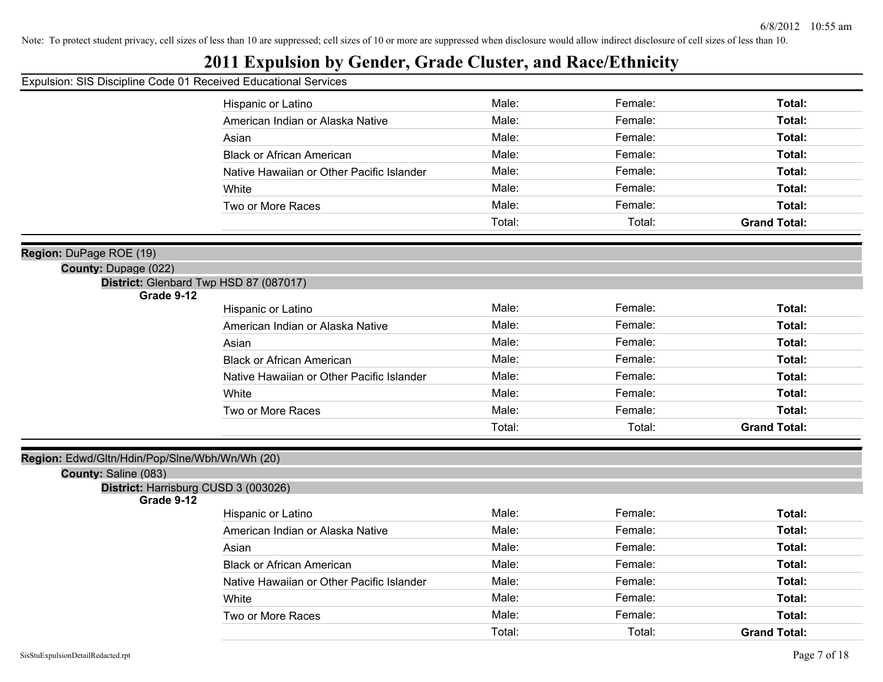#### **2011 Expulsion by Gender, Grade Cluster, and Race/Ethnicity**

#### Expulsion: SIS Discipline Code 01 Received Educational Services

|                | Hispanic or Latino                        | Male:  | Female: | Total:              |
|----------------|-------------------------------------------|--------|---------|---------------------|
|                | American Indian or Alaska Native          | Male:  | Female: | Total:              |
|                | Asian                                     | Male:  | Female: | Total:              |
|                | <b>Black or African American</b>          | Male:  | Female: | Total:              |
|                | Native Hawaiian or Other Pacific Islander | Male:  | Female: | Total:              |
|                | White                                     | Male:  | Female: | Total:              |
|                | Two or More Races                         | Male:  | Female: | Total:              |
|                |                                           | Total: | Total:  | <b>Grand Total:</b> |
|                |                                           |        |         |                     |
|                |                                           |        |         |                     |
| je ROE (19)    |                                           |        |         |                     |
| : Dupage (022) |                                           |        |         |                     |
|                |                                           |        |         |                     |
| Grade 9-12     | District: Glenbard Twp HSD 87 (087017)    |        |         |                     |
|                | Hispanic or Latino                        | Male:  | Female: | Total:              |
|                | American Indian or Alaska Native          | Male:  | Female: | Total:              |
|                | Asian                                     | Male:  | Female: | Total:              |
|                | <b>Black or African American</b>          | Male:  | Female: | Total:              |
|                | Native Hawaiian or Other Pacific Islander | Male:  | Female: | Total:              |

Two or More Races **Total: Male:** Total: **Female:** Female: **Total:** Total:

Total: Total: **Grand Total:**

#### **Region:** Edwd/Gltn/Hdin/Pop/Slne/Wbh/Wn/Wh (20)

#### **County:** Saline (083)

**Region:** DuPage ROE (19)

**County:** Dupage (022)

#### **District:** Harrisburg CUSD 3 (003026)

#### **Grade 9-12**

| Hispanic or Latino                        | Male:  | Female: | Total:              |
|-------------------------------------------|--------|---------|---------------------|
| American Indian or Alaska Native          | Male:  | Female: | Total:              |
| Asian                                     | Male:  | Female: | Total:              |
| <b>Black or African American</b>          | Male:  | Female: | Total:              |
| Native Hawaiian or Other Pacific Islander | Male:  | Female: | Total:              |
| White                                     | Male:  | Female: | Total:              |
| Two or More Races                         | Male:  | Female: | Total:              |
|                                           | Total: | Total:  | <b>Grand Total:</b> |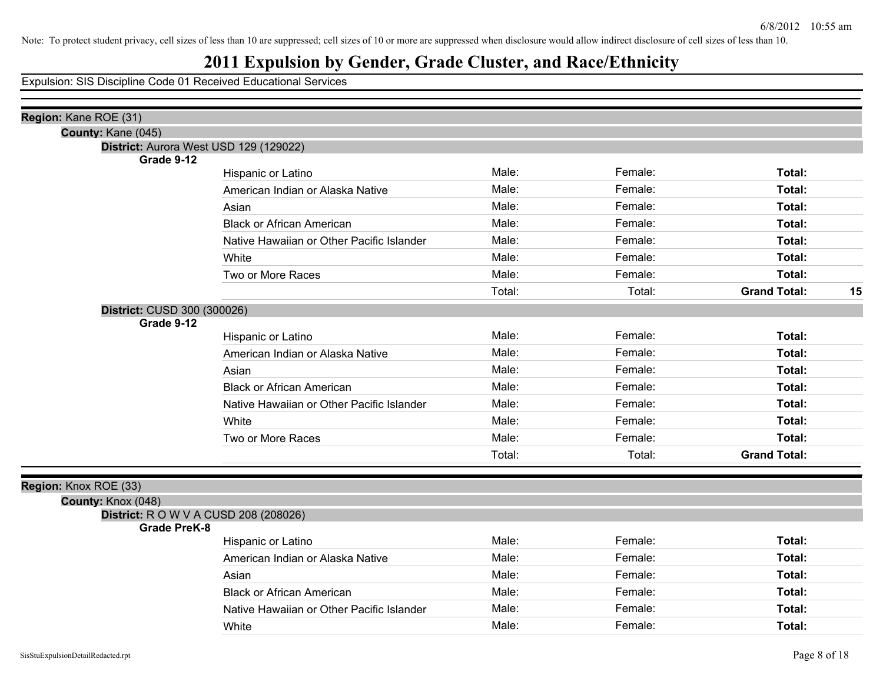## **2011 Expulsion by Gender, Grade Cluster, and Race/Ethnicity**

| Region: Kane ROE (31)       |                                              |        |         |                           |
|-----------------------------|----------------------------------------------|--------|---------|---------------------------|
| County: Kane (045)          |                                              |        |         |                           |
|                             | District: Aurora West USD 129 (129022)       |        |         |                           |
| Grade 9-12                  | Hispanic or Latino                           | Male:  | Female: | Total:                    |
|                             | American Indian or Alaska Native             | Male:  | Female: | Total:                    |
|                             |                                              | Male:  | Female: | Total:                    |
|                             | Asian<br><b>Black or African American</b>    | Male:  | Female: | Total:                    |
|                             |                                              | Male:  | Female: |                           |
|                             | Native Hawaiian or Other Pacific Islander    |        |         | Total:                    |
|                             | White                                        | Male:  | Female: | Total:                    |
|                             | Two or More Races                            | Male:  | Female: | Total:                    |
|                             |                                              | Total: | Total:  | <b>Grand Total:</b><br>15 |
| District: CUSD 300 (300026) |                                              |        |         |                           |
| Grade 9-12                  |                                              | Male:  | Female: | Total:                    |
|                             | Hispanic or Latino                           |        | Female: |                           |
|                             | American Indian or Alaska Native             | Male:  |         | Total:                    |
|                             | Asian                                        | Male:  | Female: | Total:                    |
|                             | <b>Black or African American</b>             | Male:  | Female: | Total:                    |
|                             | Native Hawaiian or Other Pacific Islander    | Male:  | Female: | Total:                    |
|                             | White                                        | Male:  | Female: | Total:                    |
|                             | Two or More Races                            | Male:  | Female: | Total:                    |
|                             |                                              | Total: | Total:  | <b>Grand Total:</b>       |
|                             |                                              |        |         |                           |
| Region: Knox ROE (33)       |                                              |        |         |                           |
| County: Knox (048)          |                                              |        |         |                           |
| <b>Grade PreK-8</b>         | <b>District:</b> R O W V A CUSD 208 (208026) |        |         |                           |
|                             | Hispanic or Latino                           | Male:  | Female: | Total:                    |
|                             | American Indian or Alaska Native             | Male:  | Female: | Total:                    |
|                             | Asian                                        | Male:  | Female: | Total:                    |
|                             | <b>Black or African American</b>             | Male:  | Female: | Total:                    |
|                             | Native Hawaiian or Other Pacific Islander    | Male:  | Female: | Total:                    |
|                             | White                                        | Male:  | Female: | Total:                    |
|                             |                                              |        |         |                           |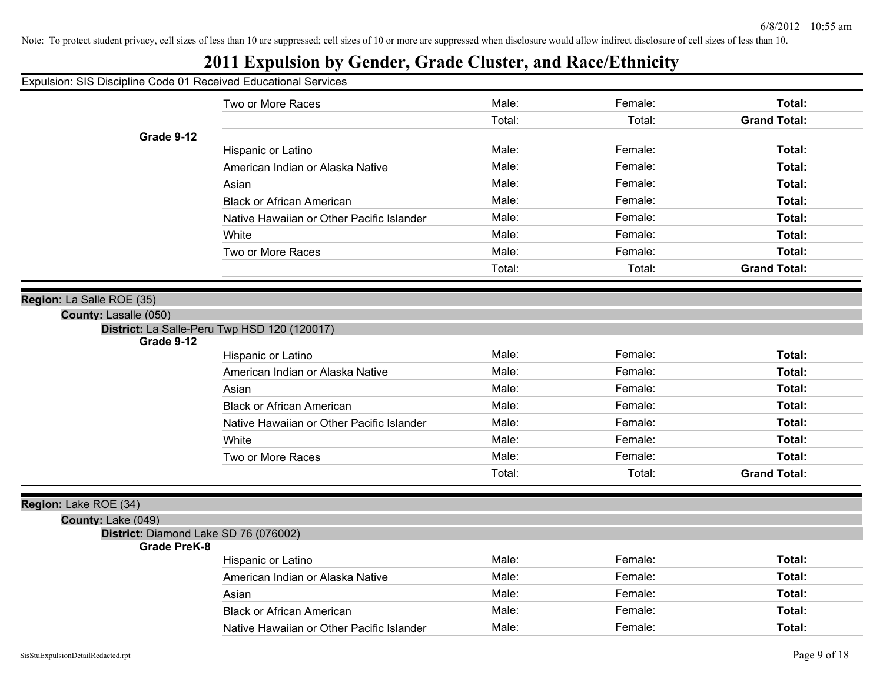| Expulsion: SIS Discipline Code 01 Received Educational Services |                                              |        |         |                     |
|-----------------------------------------------------------------|----------------------------------------------|--------|---------|---------------------|
|                                                                 | Two or More Races                            | Male:  | Female: | Total:              |
|                                                                 |                                              | Total: | Total:  | <b>Grand Total:</b> |
| Grade 9-12                                                      |                                              |        |         |                     |
|                                                                 | Hispanic or Latino                           | Male:  | Female: | Total:              |
|                                                                 | American Indian or Alaska Native             | Male:  | Female: | Total:              |
|                                                                 | Asian                                        | Male:  | Female: | Total:              |
|                                                                 | <b>Black or African American</b>             | Male:  | Female: | Total:              |
|                                                                 | Native Hawaiian or Other Pacific Islander    | Male:  | Female: | Total:              |
|                                                                 | White                                        | Male:  | Female: | Total:              |
|                                                                 | Two or More Races                            | Male:  | Female: | Total:              |
|                                                                 |                                              | Total: | Total:  | <b>Grand Total:</b> |
|                                                                 |                                              |        |         |                     |
| Region: La Salle ROE (35)<br>County: Lasalle (050)              |                                              |        |         |                     |
|                                                                 | District: La Salle-Peru Twp HSD 120 (120017) |        |         |                     |
| Grade 9-12                                                      |                                              |        |         |                     |
|                                                                 | Hispanic or Latino                           | Male:  | Female: | Total:              |
|                                                                 | American Indian or Alaska Native             | Male:  | Female: | Total:              |
|                                                                 | Asian                                        | Male:  | Female: | Total:              |
|                                                                 | <b>Black or African American</b>             | Male:  | Female: | Total:              |
|                                                                 | Native Hawaiian or Other Pacific Islander    | Male:  | Female: | Total:              |
|                                                                 | White                                        | Male:  | Female: | Total:              |
|                                                                 | Two or More Races                            | Male:  | Female: | Total:              |
|                                                                 |                                              | Total: | Total:  | <b>Grand Total:</b> |
|                                                                 |                                              |        |         |                     |
| Region: Lake ROE (34)<br>County: Lake (049)                     |                                              |        |         |                     |
| District: Diamond Lake SD 76 (076002)                           |                                              |        |         |                     |
| <b>Grade PreK-8</b>                                             |                                              |        |         |                     |
|                                                                 | Hispanic or Latino                           | Male:  | Female: | Total:              |
|                                                                 | American Indian or Alaska Native             | Male:  | Female: | Total:              |
|                                                                 | Asian                                        | Male:  | Female: | Total:              |
|                                                                 | <b>Black or African American</b>             | Male:  | Female: | <b>Total:</b>       |
|                                                                 | Native Hawaiian or Other Pacific Islander    | Male:  | Female: | Total:              |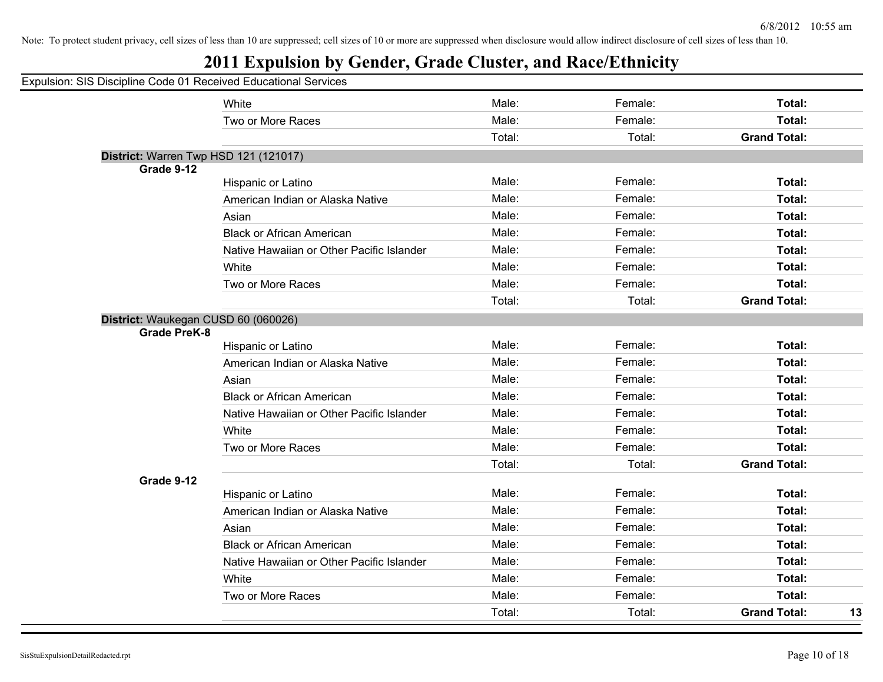| Expulsion: SIS Discipline Code 01 Received Educational Services |                                           |        |         |                     |    |
|-----------------------------------------------------------------|-------------------------------------------|--------|---------|---------------------|----|
|                                                                 | White                                     | Male:  | Female: | Total:              |    |
|                                                                 | Two or More Races                         | Male:  | Female: | Total:              |    |
|                                                                 |                                           | Total: | Total:  | <b>Grand Total:</b> |    |
| District: Warren Twp HSD 121 (121017)                           |                                           |        |         |                     |    |
| Grade 9-12                                                      |                                           |        |         |                     |    |
|                                                                 | Hispanic or Latino                        | Male:  | Female: | Total:              |    |
|                                                                 | American Indian or Alaska Native          | Male:  | Female: | Total:              |    |
|                                                                 | Asian                                     | Male:  | Female: | Total:              |    |
|                                                                 | <b>Black or African American</b>          | Male:  | Female: | Total:              |    |
|                                                                 | Native Hawaiian or Other Pacific Islander | Male:  | Female: | Total:              |    |
|                                                                 | White                                     | Male:  | Female: | Total:              |    |
|                                                                 | Two or More Races                         | Male:  | Female: | Total:              |    |
|                                                                 |                                           | Total: | Total:  | <b>Grand Total:</b> |    |
| District: Waukegan CUSD 60 (060026)<br><b>Grade PreK-8</b>      |                                           |        |         |                     |    |
|                                                                 | Hispanic or Latino                        | Male:  | Female: | Total:              |    |
|                                                                 | American Indian or Alaska Native          | Male:  | Female: | Total:              |    |
|                                                                 | Asian                                     | Male:  | Female: | Total:              |    |
|                                                                 | <b>Black or African American</b>          | Male:  | Female: | Total:              |    |
|                                                                 | Native Hawaiian or Other Pacific Islander | Male:  | Female: | Total:              |    |
|                                                                 | White                                     | Male:  | Female: | Total:              |    |
|                                                                 | Two or More Races                         | Male:  | Female: | Total:              |    |
|                                                                 |                                           | Total: | Total:  | <b>Grand Total:</b> |    |
| Grade 9-12                                                      |                                           |        |         |                     |    |
|                                                                 | Hispanic or Latino                        | Male:  | Female: | Total:              |    |
|                                                                 | American Indian or Alaska Native          | Male:  | Female: | Total:              |    |
|                                                                 | Asian                                     | Male:  | Female: | Total:              |    |
|                                                                 | <b>Black or African American</b>          | Male:  | Female: | Total:              |    |
|                                                                 | Native Hawaiian or Other Pacific Islander | Male:  | Female: | Total:              |    |
|                                                                 | White                                     | Male:  | Female: | Total:              |    |
|                                                                 | Two or More Races                         | Male:  | Female: | Total:              |    |
|                                                                 |                                           | Total: | Total:  | <b>Grand Total:</b> | 13 |
|                                                                 |                                           |        |         |                     |    |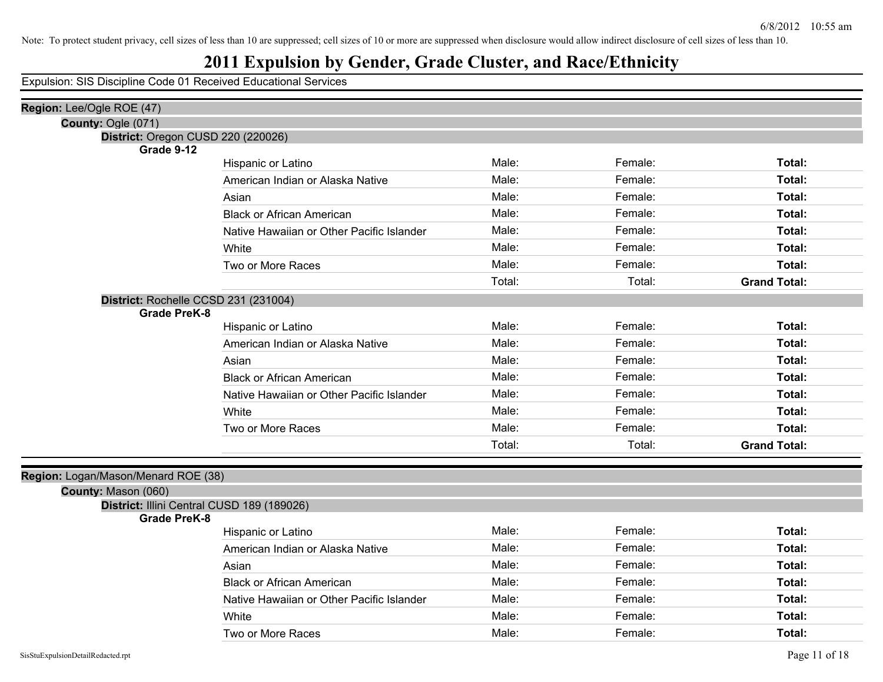## **2011 Expulsion by Gender, Grade Cluster, and Race/Ethnicity**

| Region: Lee/Ogle ROE (47)                                  |                                           |        |         |                     |
|------------------------------------------------------------|-------------------------------------------|--------|---------|---------------------|
| County: Ogle (071)                                         |                                           |        |         |                     |
| District: Oregon CUSD 220 (220026)                         |                                           |        |         |                     |
| Grade 9-12                                                 | Hispanic or Latino                        | Male:  | Female: | Total:              |
|                                                            | American Indian or Alaska Native          | Male:  | Female: | Total:              |
|                                                            | Asian                                     | Male:  | Female: | Total:              |
|                                                            |                                           | Male:  | Female: | Total:              |
|                                                            | <b>Black or African American</b>          | Male:  | Female: | Total:              |
|                                                            | Native Hawaiian or Other Pacific Islander |        |         |                     |
|                                                            | White                                     | Male:  | Female: | Total:              |
|                                                            | Two or More Races                         | Male:  | Female: | Total:              |
|                                                            |                                           | Total: | Total:  | <b>Grand Total:</b> |
| District: Rochelle CCSD 231 (231004)                       |                                           |        |         |                     |
| <b>Grade PreK-8</b>                                        | Hispanic or Latino                        | Male:  | Female: | Total:              |
|                                                            | American Indian or Alaska Native          | Male:  | Female: | Total:              |
|                                                            |                                           | Male:  | Female: | Total:              |
|                                                            | Asian                                     |        |         |                     |
|                                                            | <b>Black or African American</b>          | Male:  | Female: | Total:              |
|                                                            | Native Hawaiian or Other Pacific Islander | Male:  | Female: | Total:              |
|                                                            | White                                     | Male:  | Female: | Total:              |
|                                                            | Two or More Races                         | Male:  | Female: | Total:              |
|                                                            |                                           | Total: | Total:  | <b>Grand Total:</b> |
|                                                            |                                           |        |         |                     |
| Region: Logan/Mason/Menard ROE (38)                        |                                           |        |         |                     |
| County: Mason (060)                                        |                                           |        |         |                     |
| District: Illini Central CUSD 189 (189026)<br>Grade PreK-8 |                                           |        |         |                     |
|                                                            | Hispanic or Latino                        | Male:  | Female: | Total:              |
|                                                            | American Indian or Alaska Native          | Male:  | Female: | Total:              |
|                                                            | Asian                                     | Male:  | Female: | Total:              |
|                                                            | <b>Black or African American</b>          | Male:  | Female: | Total:              |
|                                                            | Native Hawaiian or Other Pacific Islander | Male:  | Female: | Total:              |
|                                                            | White                                     | Male:  | Female: | Total:              |
|                                                            | Two or More Races                         | Male:  | Female: | Total:              |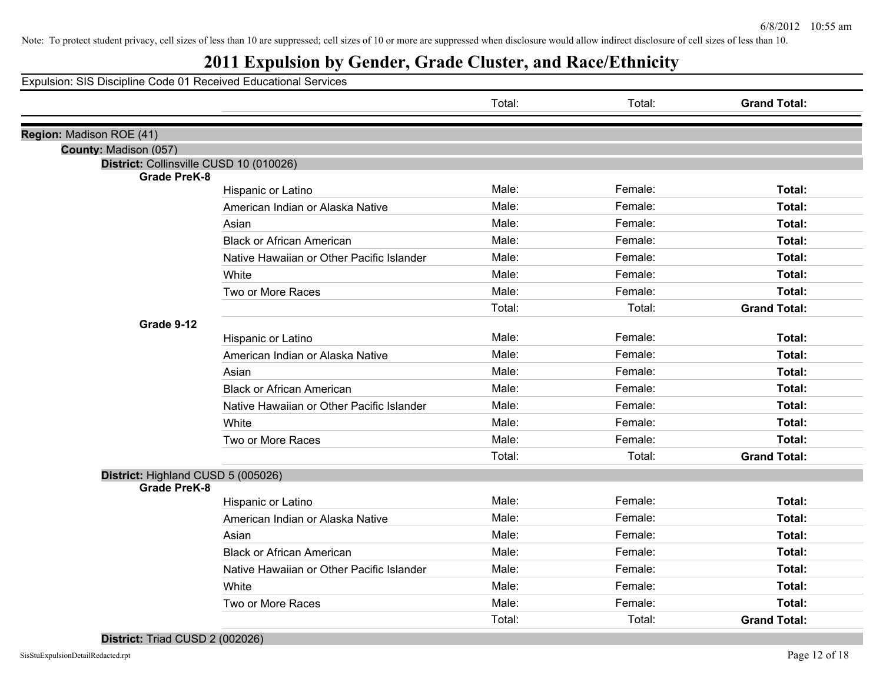## **2011 Expulsion by Gender, Grade Cluster, and Race/Ethnicity**

|                                                                |                                           | Total: | Total:  | <b>Grand Total:</b> |
|----------------------------------------------------------------|-------------------------------------------|--------|---------|---------------------|
| Region: Madison ROE (41)                                       |                                           |        |         |                     |
| County: Madison (057)                                          |                                           |        |         |                     |
| District: Collinsville CUSD 10 (010026)<br><b>Grade PreK-8</b> |                                           |        |         |                     |
|                                                                | Hispanic or Latino                        | Male:  | Female: | Total:              |
|                                                                | American Indian or Alaska Native          | Male:  | Female: | Total:              |
|                                                                | Asian                                     | Male:  | Female: | Total:              |
|                                                                | <b>Black or African American</b>          | Male:  | Female: | Total:              |
|                                                                | Native Hawaiian or Other Pacific Islander | Male:  | Female: | Total:              |
|                                                                | White                                     | Male:  | Female: | Total:              |
|                                                                | Two or More Races                         | Male:  | Female: | Total:              |
|                                                                |                                           | Total: | Total:  | <b>Grand Total:</b> |
| Grade 9-12                                                     |                                           |        |         |                     |
|                                                                | Hispanic or Latino                        | Male:  | Female: | Total:              |
|                                                                | American Indian or Alaska Native          | Male:  | Female: | Total:              |
|                                                                | Asian                                     | Male:  | Female: | Total:              |
|                                                                | <b>Black or African American</b>          | Male:  | Female: | Total:              |
|                                                                | Native Hawaiian or Other Pacific Islander | Male:  | Female: | Total:              |
|                                                                | White                                     | Male:  | Female: | Total:              |
|                                                                | Two or More Races                         | Male:  | Female: | Total:              |
|                                                                |                                           | Total: | Total:  | <b>Grand Total:</b> |
| District: Highland CUSD 5 (005026)                             |                                           |        |         |                     |
| <b>Grade PreK-8</b>                                            |                                           |        |         |                     |
|                                                                | Hispanic or Latino                        | Male:  | Female: | Total:              |
|                                                                | American Indian or Alaska Native          | Male:  | Female: | Total:              |
|                                                                | Asian                                     | Male:  | Female: | Total:              |
|                                                                | <b>Black or African American</b>          | Male:  | Female: | Total:              |
|                                                                | Native Hawaiian or Other Pacific Islander | Male:  | Female: | Total:              |
|                                                                | White                                     | Male:  | Female: | Total:              |
|                                                                | Two or More Races                         | Male:  | Female: | Total:              |
|                                                                |                                           | Total: | Total:  | <b>Grand Total:</b> |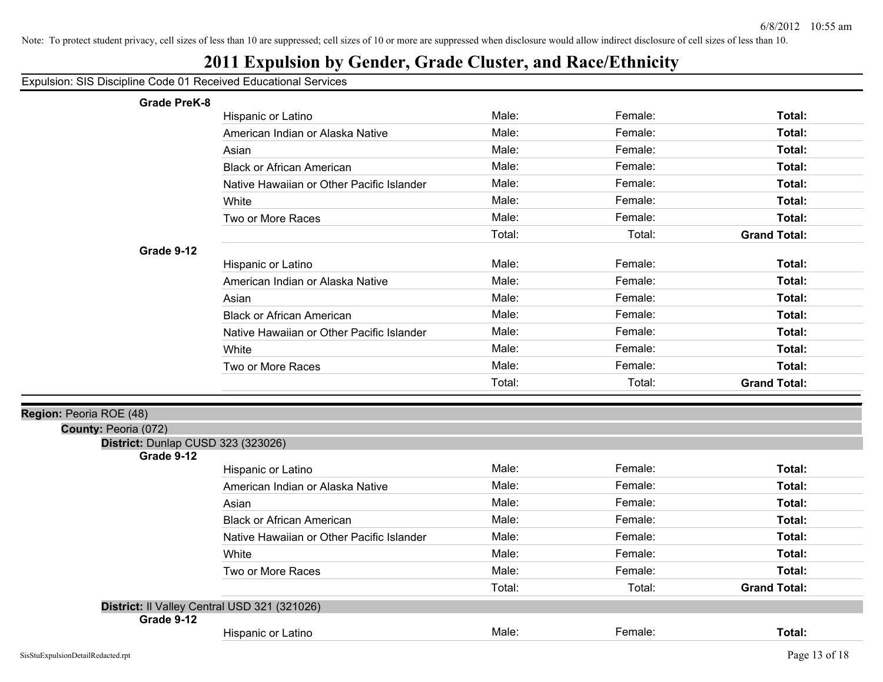## **2011 Expulsion by Gender, Grade Cluster, and Race/Ethnicity**

| <b>Grade PreK-8</b>                                        |                                           |        |         |                     |
|------------------------------------------------------------|-------------------------------------------|--------|---------|---------------------|
|                                                            | Hispanic or Latino                        | Male:  | Female: | Total:              |
|                                                            | American Indian or Alaska Native          | Male:  | Female: | Total:              |
|                                                            | Asian                                     | Male:  | Female: | Total:              |
|                                                            | <b>Black or African American</b>          | Male:  | Female: | Total:              |
|                                                            | Native Hawaiian or Other Pacific Islander | Male:  | Female: | Total:              |
|                                                            | White                                     | Male:  | Female: | Total:              |
|                                                            | Two or More Races                         | Male:  | Female: | Total:              |
|                                                            |                                           | Total: | Total:  | <b>Grand Total:</b> |
| Grade 9-12                                                 |                                           |        |         |                     |
|                                                            | Hispanic or Latino                        | Male:  | Female: | Total:              |
|                                                            | American Indian or Alaska Native          | Male:  | Female: | Total:              |
|                                                            | Asian                                     | Male:  | Female: | Total:              |
|                                                            | <b>Black or African American</b>          | Male:  | Female: | Total:              |
|                                                            | Native Hawaiian or Other Pacific Islander | Male:  | Female: | Total:              |
|                                                            | White                                     | Male:  | Female: | Total:              |
|                                                            | Two or More Races                         | Male:  | Female: | Total:              |
|                                                            |                                           | Total: | Total:  | <b>Grand Total:</b> |
|                                                            |                                           |        |         |                     |
| Region: Peoria ROE (48)<br>County: Peoria (072)            |                                           |        |         |                     |
| District: Dunlap CUSD 323 (323026)                         |                                           |        |         |                     |
| Grade 9-12                                                 |                                           |        |         |                     |
|                                                            | Hispanic or Latino                        | Male:  | Female: | Total:              |
|                                                            | American Indian or Alaska Native          | Male:  | Female: | Total:              |
|                                                            | Asian                                     | Male:  | Female: | Total:              |
|                                                            | <b>Black or African American</b>          | Male:  | Female: | Total:              |
|                                                            | Native Hawaiian or Other Pacific Islander | Male:  | Female: | Total:              |
|                                                            | White                                     | Male:  | Female: | Total:              |
|                                                            | Two or More Races                         | Male:  | Female: | Total:              |
|                                                            |                                           | Total: | Total:  | <b>Grand Total:</b> |
|                                                            |                                           |        |         |                     |
|                                                            |                                           |        |         |                     |
| District: Il Valley Central USD 321 (321026)<br>Grade 9-12 | Hispanic or Latino                        | Male:  | Female: | Total:              |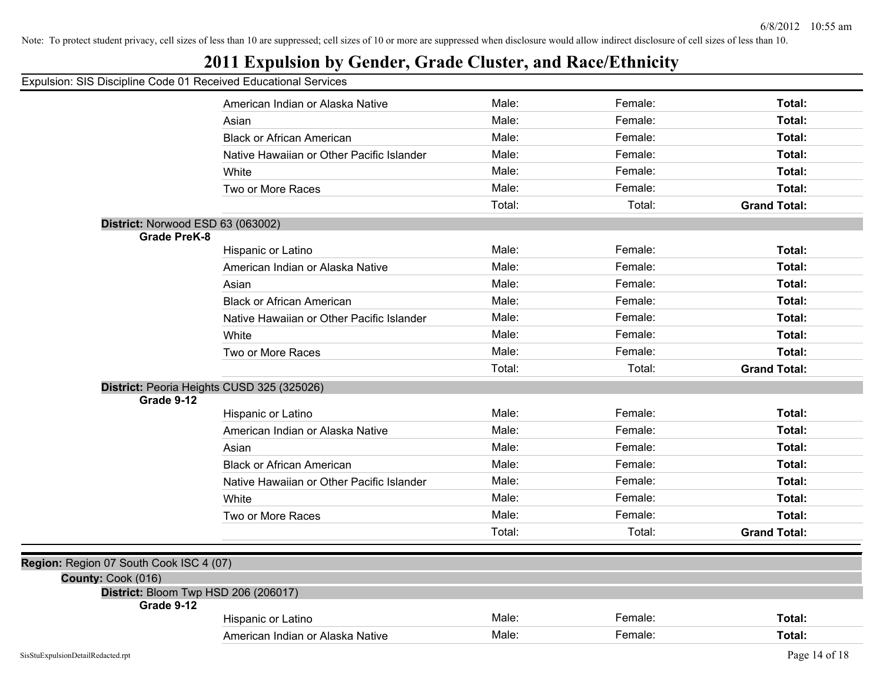|  |  |  | Expulsion: SIS Discipline Code 01 Received Educational Services |  |
|--|--|--|-----------------------------------------------------------------|--|
|  |  |  |                                                                 |  |

|                                         | American Indian or Alaska Native                   | Male:  | Female: | Total:              |
|-----------------------------------------|----------------------------------------------------|--------|---------|---------------------|
|                                         | Asian                                              | Male:  | Female: | Total:              |
|                                         | <b>Black or African American</b>                   | Male:  | Female: | Total:              |
|                                         | Native Hawaiian or Other Pacific Islander          | Male:  | Female: | Total:              |
|                                         | White                                              | Male:  | Female: | Total:              |
|                                         | Two or More Races                                  | Male:  | Female: | Total:              |
|                                         |                                                    | Total: | Total:  | <b>Grand Total:</b> |
|                                         | District: Norwood ESD 63 (063002)                  |        |         |                     |
|                                         | <b>Grade PreK-8</b>                                |        |         |                     |
|                                         | Hispanic or Latino                                 | Male:  | Female: | Total:              |
|                                         | American Indian or Alaska Native                   | Male:  | Female: | Total:              |
|                                         | Asian                                              | Male:  | Female: | Total:              |
|                                         | <b>Black or African American</b>                   | Male:  | Female: | Total:              |
|                                         | Native Hawaiian or Other Pacific Islander          | Male:  | Female: | Total:              |
|                                         | White                                              | Male:  | Female: | Total:              |
|                                         | Two or More Races                                  | Male:  | Female: | Total:              |
|                                         |                                                    | Total: | Total:  | <b>Grand Total:</b> |
|                                         | District: Peoria Heights CUSD 325 (325026)         |        |         |                     |
|                                         | Grade 9-12                                         |        |         |                     |
|                                         | Hispanic or Latino                                 | Male:  | Female: | Total:              |
|                                         | American Indian or Alaska Native                   | Male:  | Female: | Total:              |
|                                         | Asian                                              | Male:  | Female: | Total:              |
|                                         | <b>Black or African American</b>                   | Male:  | Female: | Total:              |
|                                         | Native Hawaiian or Other Pacific Islander          | Male:  | Female: | Total:              |
|                                         | White                                              | Male:  | Female: | Total:              |
|                                         | Two or More Races                                  | Male:  | Female: | Total:              |
|                                         |                                                    | Total: | Total:  | <b>Grand Total:</b> |
|                                         |                                                    |        |         |                     |
| Region: Region 07 South Cook ISC 4 (07) |                                                    |        |         |                     |
| County: Cook (016)                      |                                                    |        |         |                     |
|                                         | District: Bloom Twp HSD 206 (206017)<br>Grade 9-12 |        |         |                     |
|                                         | Hispanic or Latino                                 | Male:  | Female: | Total:              |
|                                         | American Indian or Alaska Native                   | Male:  | Female: | Total:              |
|                                         |                                                    |        |         |                     |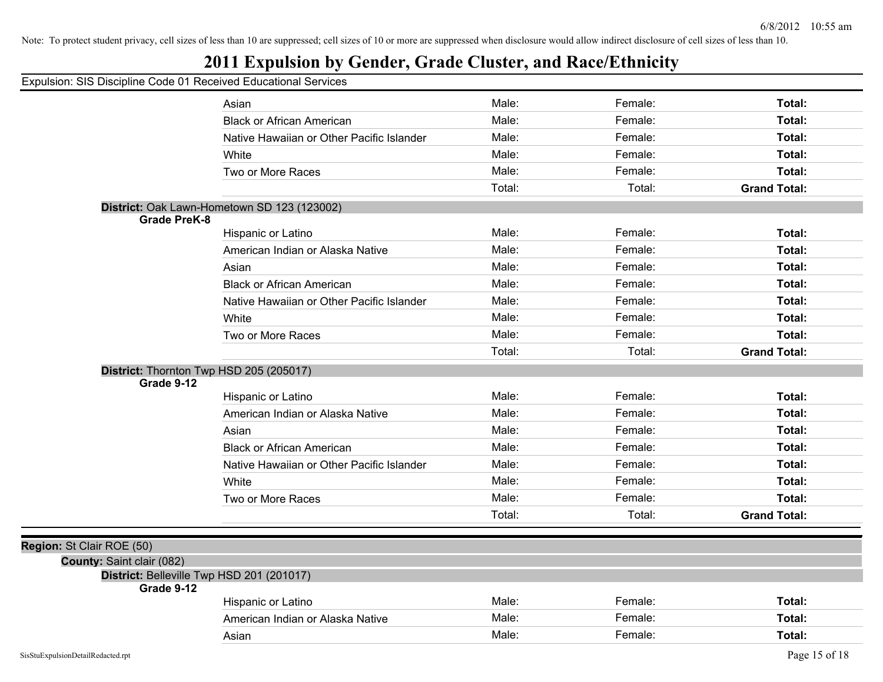| Expulsion: SIS Discipline Code 01 Received Educational Services |                                             |        |         |                     |
|-----------------------------------------------------------------|---------------------------------------------|--------|---------|---------------------|
|                                                                 | Asian                                       | Male:  | Female: | Total:              |
|                                                                 | <b>Black or African American</b>            | Male:  | Female: | Total:              |
|                                                                 | Native Hawaiian or Other Pacific Islander   | Male:  | Female: | Total:              |
|                                                                 | White                                       | Male:  | Female: | Total:              |
|                                                                 | Two or More Races                           | Male:  | Female: | Total:              |
|                                                                 |                                             | Total: | Total:  | <b>Grand Total:</b> |
|                                                                 | District: Oak Lawn-Hometown SD 123 (123002) |        |         |                     |
| <b>Grade PreK-8</b>                                             |                                             |        |         |                     |
|                                                                 | Hispanic or Latino                          | Male:  | Female: | Total:              |
|                                                                 | American Indian or Alaska Native            | Male:  | Female: | Total:              |
|                                                                 | Asian                                       | Male:  | Female: | Total:              |
|                                                                 | <b>Black or African American</b>            | Male:  | Female: | Total:              |
|                                                                 | Native Hawaiian or Other Pacific Islander   | Male:  | Female: | Total:              |
|                                                                 | White                                       | Male:  | Female: | Total:              |
|                                                                 | Two or More Races                           | Male:  | Female: | Total:              |
|                                                                 |                                             | Total: | Total:  | <b>Grand Total:</b> |
|                                                                 | District: Thornton Twp HSD 205 (205017)     |        |         |                     |
| Grade 9-12                                                      |                                             |        |         |                     |
|                                                                 | Hispanic or Latino                          | Male:  | Female: | Total:              |
|                                                                 | American Indian or Alaska Native            | Male:  | Female: | Total:              |
|                                                                 | Asian                                       | Male:  | Female: | Total:              |
|                                                                 | <b>Black or African American</b>            | Male:  | Female: | Total:              |
|                                                                 | Native Hawaiian or Other Pacific Islander   | Male:  | Female: | Total:              |
|                                                                 | White                                       | Male:  | Female: | Total:              |
|                                                                 | Two or More Races                           | Male:  | Female: | Total:              |
|                                                                 |                                             | Total: | Total:  | <b>Grand Total:</b> |
|                                                                 |                                             |        |         |                     |
| Region: St Clair ROE (50)                                       |                                             |        |         |                     |
| County: Saint clair (082)                                       |                                             |        |         |                     |
| Grade 9-12                                                      | District: Belleville Twp HSD 201 (201017)   |        |         |                     |
|                                                                 | Hispanic or Latino                          | Male:  | Female: | Total:              |
|                                                                 | American Indian or Alaska Native            | Male:  | Female: | Total:              |
|                                                                 | Asian                                       | Male:  | Female: | Total:              |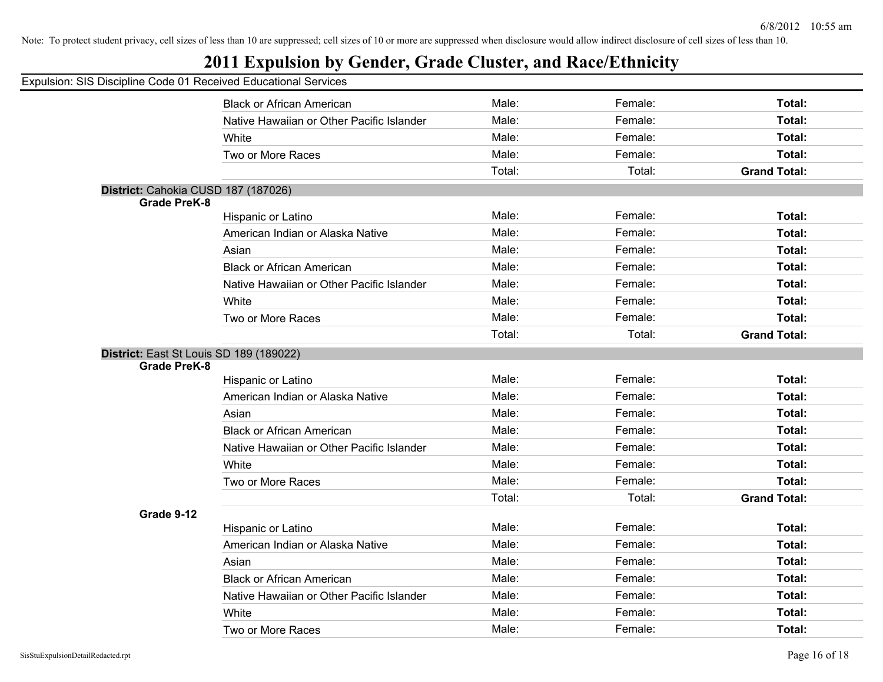## **2011 Expulsion by Gender, Grade Cluster, and Race/Ethnicity**

|                                                                | <b>Black or African American</b>          | Male:  | Female: | Total:              |
|----------------------------------------------------------------|-------------------------------------------|--------|---------|---------------------|
|                                                                | Native Hawaiian or Other Pacific Islander | Male:  | Female: | Total:              |
|                                                                | White                                     | Male:  | Female: | Total:              |
|                                                                | Two or More Races                         | Male:  | Female: | Total:              |
|                                                                |                                           | Total: | Total:  | <b>Grand Total:</b> |
| District: Cahokia CUSD 187 (187026)                            |                                           |        |         |                     |
| <b>Grade PreK-8</b>                                            |                                           | Male:  | Female: | Total:              |
|                                                                | Hispanic or Latino                        |        |         |                     |
|                                                                | American Indian or Alaska Native          | Male:  | Female: | Total:              |
|                                                                | Asian                                     | Male:  | Female: | Total:              |
|                                                                | <b>Black or African American</b>          | Male:  | Female: | Total:              |
|                                                                | Native Hawaiian or Other Pacific Islander | Male:  | Female: | Total:              |
|                                                                | White                                     | Male:  | Female: | Total:              |
|                                                                | Two or More Races                         | Male:  | Female: | Total:              |
|                                                                |                                           | Total: | Total:  | <b>Grand Total:</b> |
| District: East St Louis SD 189 (189022)<br><b>Grade PreK-8</b> |                                           |        |         |                     |
|                                                                | Hispanic or Latino                        | Male:  | Female: | Total:              |
|                                                                | American Indian or Alaska Native          | Male:  | Female: | Total:              |
|                                                                | Asian                                     | Male:  | Female: | Total:              |
|                                                                | <b>Black or African American</b>          | Male:  | Female: | Total:              |
|                                                                | Native Hawaiian or Other Pacific Islander | Male:  | Female: | Total:              |
|                                                                | White                                     | Male:  | Female: | Total:              |
|                                                                | Two or More Races                         | Male:  | Female: | Total:              |
|                                                                |                                           | Total: | Total:  | <b>Grand Total:</b> |
| Grade 9-12                                                     |                                           |        |         |                     |
|                                                                | Hispanic or Latino                        | Male:  | Female: | Total:              |
|                                                                | American Indian or Alaska Native          | Male:  | Female: | Total:              |
|                                                                | Asian                                     | Male:  | Female: | Total:              |
|                                                                | <b>Black or African American</b>          | Male:  | Female: | Total:              |
|                                                                | Native Hawaiian or Other Pacific Islander | Male:  | Female: | Total:              |
|                                                                | White                                     | Male:  | Female: | Total:              |
|                                                                | Two or More Races                         | Male:  | Female: | Total:              |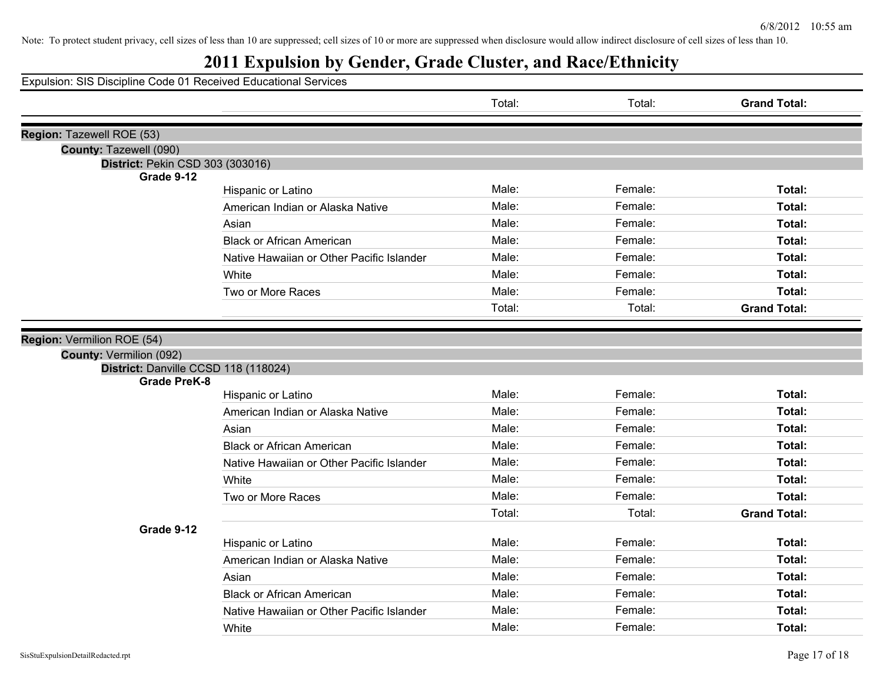## **2011 Expulsion by Gender, Grade Cluster, and Race/Ethnicity**

|                                      |                                           | Total: | Total:  | <b>Grand Total:</b> |
|--------------------------------------|-------------------------------------------|--------|---------|---------------------|
| Region: Tazewell ROE (53)            |                                           |        |         |                     |
| County: Tazewell (090)               |                                           |        |         |                     |
| District: Pekin CSD 303 (303016)     |                                           |        |         |                     |
| Grade 9-12                           |                                           |        |         |                     |
|                                      | Hispanic or Latino                        | Male:  | Female: | Total:              |
|                                      | American Indian or Alaska Native          | Male:  | Female: | Total:              |
|                                      | Asian                                     | Male:  | Female: | Total:              |
|                                      | <b>Black or African American</b>          | Male:  | Female: | Total:              |
|                                      | Native Hawaiian or Other Pacific Islander | Male:  | Female: | Total:              |
|                                      | White                                     | Male:  | Female: | Total:              |
|                                      | Two or More Races                         | Male:  | Female: | Total:              |
|                                      |                                           | Total: | Total:  | <b>Grand Total:</b> |
|                                      |                                           |        |         |                     |
| Region: Vermilion ROE (54)           |                                           |        |         |                     |
| County: Vermilion (092)              |                                           |        |         |                     |
| District: Danville CCSD 118 (118024) |                                           |        |         |                     |
| <b>Grade PreK-8</b>                  |                                           | Male:  | Female: | Total:              |
|                                      | Hispanic or Latino                        |        |         |                     |
|                                      | American Indian or Alaska Native          | Male:  | Female: | Total:              |
|                                      | Asian                                     | Male:  | Female: | Total:              |
|                                      | <b>Black or African American</b>          | Male:  | Female: | Total:              |
|                                      | Native Hawaiian or Other Pacific Islander | Male:  | Female: | Total:              |
|                                      | White                                     | Male:  | Female: | Total:              |
|                                      | Two or More Races                         | Male:  | Female: | Total:              |
|                                      |                                           | Total: | Total:  | <b>Grand Total:</b> |
| Grade 9-12                           |                                           |        |         |                     |
|                                      | Hispanic or Latino                        | Male:  | Female: | Total:              |
|                                      | American Indian or Alaska Native          | Male:  | Female: | Total:              |
|                                      | Asian                                     | Male:  | Female: | Total:              |
|                                      | <b>Black or African American</b>          | Male:  | Female: | Total:              |
|                                      | Native Hawaiian or Other Pacific Islander | Male:  | Female: | Total:              |
|                                      | White                                     | Male:  | Female: | Total:              |